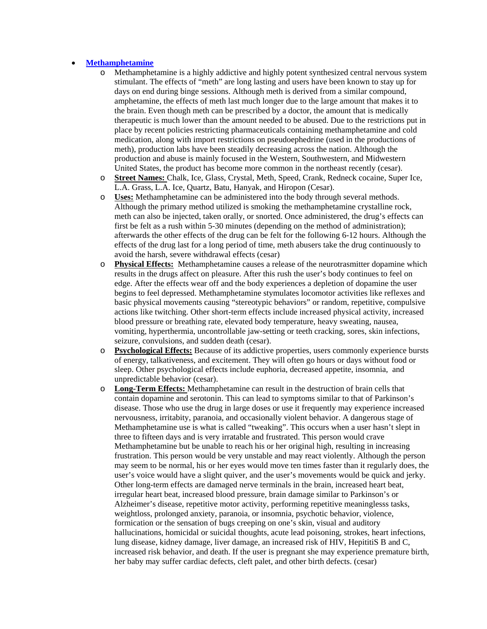## **Methamphetamine**

- o Methamphetamine is a highly addictive and highly potent synthesized central nervous system stimulant. The effects of "meth" are long lasting and users have been known to stay up for days on end during binge sessions. Although meth is derived from a similar compound, amphetamine, the effects of meth last much longer due to the large amount that makes it to the brain. Even though meth can be prescribed by a doctor, the amount that is medically therapeutic is much lower than the amount needed to be abused. Due to the restrictions put in place by recent policies restricting pharmaceuticals containing methamphetamine and cold medication, along with import restrictions on pseudoephedrine (used in the productions of meth), production labs have been steadily decreasing across the nation. Although the production and abuse is mainly focused in the Western, Southwestern, and Midwestern United States, the product has become more common in the northeast recently (cesar).
- o **Street Names:** Chalk, Ice, Glass, Crystal, Meth, Speed, Crank, Redneck cocaine, Super Ice, L.A. Grass, L.A. Ice, Quartz, Batu, Hanyak, and Hiropon (Cesar).
- o **Uses:** Methamphetamine can be administered into the body through several methods. Although the primary method utilized is smoking the methamphetamine crystalline rock, meth can also be injected, taken orally, or snorted. Once administered, the drug's effects can first be felt as a rush within 5-30 minutes (depending on the method of administration); afterwards the other effects of the drug can be felt for the following 6-12 hours. Although the effects of the drug last for a long period of time, meth abusers take the drug continuously to avoid the harsh, severe withdrawal effects (cesar)
- o **Physical Effects:** Methamphetamine causes a release of the neurotrasmitter dopamine which results in the drugs affect on pleasure. After this rush the user's body continues to feel on edge. After the effects wear off and the body experiences a depletion of dopamine the user begins to feel depressed. Methamphetamine stymulates locomotor activities like reflexes and basic physical movements causing "stereotypic behaviors" or random, repetitive, compulsive actions like twitching. Other short-term effects include increased physical activity, increased blood pressure or breathing rate, elevated body temperature, heavy sweating, nausea, vomiting, hyperthermia, uncontrollable jaw-setting or teeth cracking, sores, skin infections, seizure, convulsions, and sudden death (cesar).
- o **Psychological Effects:** Because of its addictive properties, users commonly experience bursts of energy, talkativeness, and excitement. They will often go hours or days without food or sleep. Other psychological effects include euphoria, decreased appetite, insomnia, and unpredictable behavior (cesar).
- o **Long-Term Effects:** Methamphetamine can result in the destruction of brain cells that contain dopamine and serotonin. This can lead to symptoms similar to that of Parkinson's disease. Those who use the drug in large doses or use it frequently may experience increased nervousness, irritabity, paranoia, and occasionally violent behavior. A dangerous stage of Methamphetamine use is what is called "tweaking". This occurs when a user hasn't slept in three to fifteen days and is very irratable and frustrated. This person would crave Methamphetamine but be unable to reach his or her original high, resulting in increasing frustration. This person would be very unstable and may react violently. Although the person may seem to be normal, his or her eyes would move ten times faster than it regularly does, the user's voice would have a slight quiver, and the user's movements would be quick and jerky. Other long-term effects are damaged nerve terminals in the brain, increased heart beat, irregular heart beat, increased blood pressure, brain damage similar to Parkinson's or Alzheimer's disease, repetitive motor activity, performing repetitive meaninglesss tasks, weightloss, prolonged anxiety, paranoia, or insomnia, psychotic behavior, violence, formication or the sensation of bugs creeping on one's skin, visual and auditory hallucinations, homicidal or suicidal thoughts, acute lead poisoning, strokes, heart infections, lung disease, kidney damage, liver damage, an increased risk of HIV, HepititiS B and C, increased risk behavior, and death. If the user is pregnant she may experience premature birth, her baby may suffer cardiac defects, cleft palet, and other birth defects. (cesar)